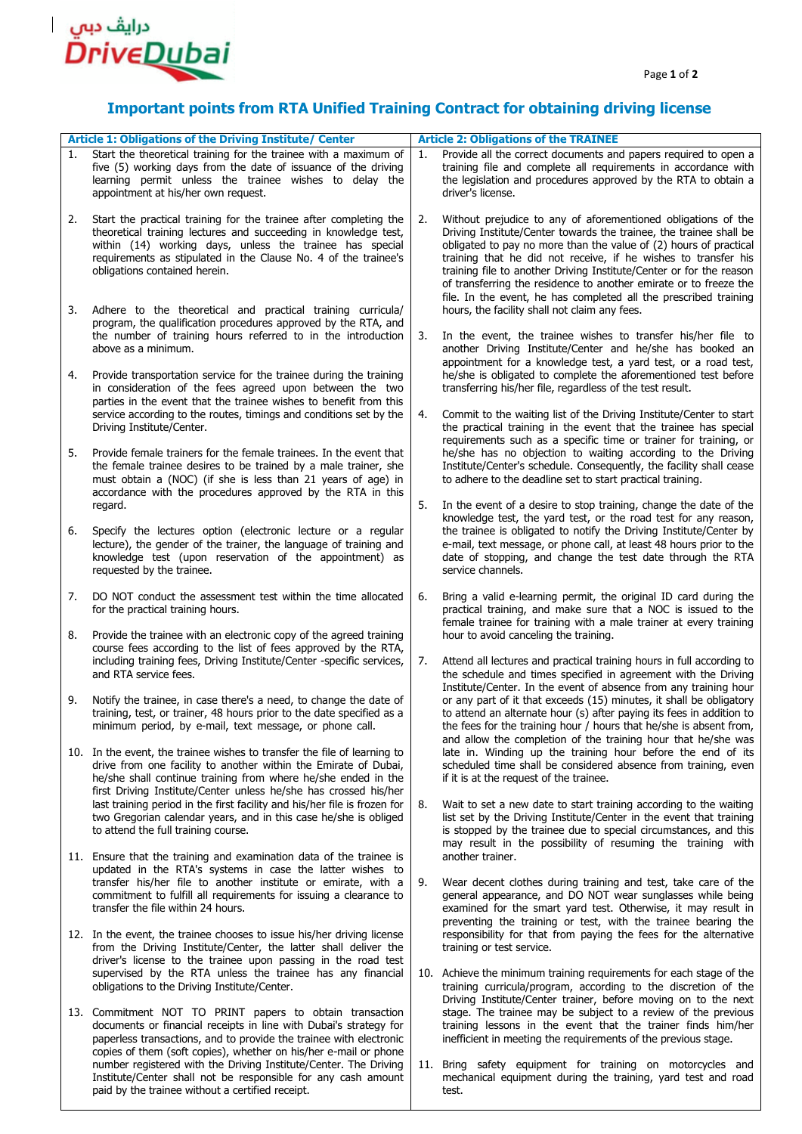

paid by the trainee without a certified receipt.

## **Important points from RTA Unified Training Contract for obtaining driving license**

|    | <b>Article 1: Obligations of the Driving Institute/ Center</b>                                                                                                                                                                                                                                       |    | <b>Article 2: Obligations of the TRAINEE</b>                                                                                                                                                                                                                                                                                                                                                                                                                                               |  |
|----|------------------------------------------------------------------------------------------------------------------------------------------------------------------------------------------------------------------------------------------------------------------------------------------------------|----|--------------------------------------------------------------------------------------------------------------------------------------------------------------------------------------------------------------------------------------------------------------------------------------------------------------------------------------------------------------------------------------------------------------------------------------------------------------------------------------------|--|
| 1. | Start the theoretical training for the trainee with a maximum of<br>five (5) working days from the date of issuance of the driving<br>learning permit unless the trainee wishes to delay the<br>appointment at his/her own request.                                                                  | 1. | Provide all the correct documents and papers required to open a<br>training file and complete all requirements in accordance with<br>the legislation and procedures approved by the RTA to obtain a<br>driver's license.                                                                                                                                                                                                                                                                   |  |
| 2. | Start the practical training for the trainee after completing the<br>theoretical training lectures and succeeding in knowledge test,<br>within (14) working days, unless the trainee has special<br>requirements as stipulated in the Clause No. 4 of the trainee's<br>obligations contained herein. | 2. | Without prejudice to any of aforementioned obligations of the<br>Driving Institute/Center towards the trainee, the trainee shall be<br>obligated to pay no more than the value of (2) hours of practical<br>training that he did not receive, if he wishes to transfer his<br>training file to another Driving Institute/Center or for the reason<br>of transferring the residence to another emirate or to freeze the<br>file. In the event, he has completed all the prescribed training |  |
| 3. | Adhere to the theoretical and practical training curricula/<br>program, the qualification procedures approved by the RTA, and<br>the number of training hours referred to in the introduction                                                                                                        | 3. | hours, the facility shall not claim any fees.<br>In the event, the trainee wishes to transfer his/her file to                                                                                                                                                                                                                                                                                                                                                                              |  |
| 4. | above as a minimum.<br>Provide transportation service for the trainee during the training<br>in consideration of the fees agreed upon between the two<br>parties in the event that the trainee wishes to benefit from this                                                                           |    | another Driving Institute/Center and he/she has booked an<br>appointment for a knowledge test, a yard test, or a road test,<br>he/she is obligated to complete the aforementioned test before<br>transferring his/her file, regardless of the test result.                                                                                                                                                                                                                                 |  |
|    | service according to the routes, timings and conditions set by the<br>Driving Institute/Center.                                                                                                                                                                                                      | 4. | Commit to the waiting list of the Driving Institute/Center to start<br>the practical training in the event that the trainee has special<br>requirements such as a specific time or trainer for training, or                                                                                                                                                                                                                                                                                |  |
| 5. | Provide female trainers for the female trainees. In the event that<br>the female trainee desires to be trained by a male trainer, she<br>must obtain a (NOC) (if she is less than 21 years of age) in                                                                                                |    | he/she has no objection to waiting according to the Driving<br>Institute/Center's schedule. Consequently, the facility shall cease<br>to adhere to the deadline set to start practical training.                                                                                                                                                                                                                                                                                           |  |
|    | accordance with the procedures approved by the RTA in this<br>regard.                                                                                                                                                                                                                                | 5. | In the event of a desire to stop training, change the date of the<br>knowledge test, the yard test, or the road test for any reason,                                                                                                                                                                                                                                                                                                                                                       |  |
| 6. | Specify the lectures option (electronic lecture or a regular<br>lecture), the gender of the trainer, the language of training and<br>knowledge test (upon reservation of the appointment) as<br>requested by the trainee.                                                                            |    | the trainee is obligated to notify the Driving Institute/Center by<br>e-mail, text message, or phone call, at least 48 hours prior to the<br>date of stopping, and change the test date through the RTA<br>service channels.                                                                                                                                                                                                                                                               |  |
| 7. | DO NOT conduct the assessment test within the time allocated<br>for the practical training hours.                                                                                                                                                                                                    | 6. | Bring a valid e-learning permit, the original ID card during the<br>practical training, and make sure that a NOC is issued to the<br>female trainee for training with a male trainer at every training                                                                                                                                                                                                                                                                                     |  |
| 8. | Provide the trainee with an electronic copy of the agreed training<br>course fees according to the list of fees approved by the RTA,<br>including training fees, Driving Institute/Center -specific services,<br>and RTA service fees.                                                               | 7. | hour to avoid canceling the training.<br>Attend all lectures and practical training hours in full according to<br>the schedule and times specified in agreement with the Driving                                                                                                                                                                                                                                                                                                           |  |
| 9. | Notify the trainee, in case there's a need, to change the date of<br>training, test, or trainer, 48 hours prior to the date specified as a<br>minimum period, by e-mail, text message, or phone call.                                                                                                |    | Institute/Center. In the event of absence from any training hour<br>or any part of it that exceeds (15) minutes, it shall be obligatory<br>to attend an alternate hour (s) after paying its fees in addition to<br>the fees for the training hour / hours that he/she is absent from,<br>and allow the completion of the training hour that he/she was                                                                                                                                     |  |
|    | 10. In the event, the trainee wishes to transfer the file of learning to<br>drive from one facility to another within the Emirate of Dubai,<br>he/she shall continue training from where he/she ended in the<br>first Driving Institute/Center unless he/she has crossed his/her                     |    | late in. Winding up the training hour before the end of its<br>scheduled time shall be considered absence from training, even<br>if it is at the request of the trainee.                                                                                                                                                                                                                                                                                                                   |  |
|    | last training period in the first facility and his/her file is frozen for<br>two Gregorian calendar years, and in this case he/she is obliged<br>to attend the full training course.                                                                                                                 | 8. | Wait to set a new date to start training according to the waiting<br>list set by the Driving Institute/Center in the event that training<br>is stopped by the trainee due to special circumstances, and this<br>may result in the possibility of resuming the training with                                                                                                                                                                                                                |  |
|    | 11. Ensure that the training and examination data of the trainee is<br>updated in the RTA's systems in case the latter wishes to<br>transfer his/her file to another institute or emirate, with a                                                                                                    | 9. | another trainer.<br>Wear decent clothes during training and test, take care of the                                                                                                                                                                                                                                                                                                                                                                                                         |  |
|    | commitment to fulfill all requirements for issuing a clearance to<br>transfer the file within 24 hours.                                                                                                                                                                                              |    | general appearance, and DO NOT wear sunglasses while being<br>examined for the smart yard test. Otherwise, it may result in<br>preventing the training or test, with the trainee bearing the                                                                                                                                                                                                                                                                                               |  |
|    | 12. In the event, the trainee chooses to issue his/her driving license<br>from the Driving Institute/Center, the latter shall deliver the<br>driver's license to the trainee upon passing in the road test                                                                                           |    | responsibility for that from paying the fees for the alternative<br>training or test service.                                                                                                                                                                                                                                                                                                                                                                                              |  |
|    | supervised by the RTA unless the trainee has any financial<br>obligations to the Driving Institute/Center.                                                                                                                                                                                           |    | 10. Achieve the minimum training requirements for each stage of the<br>training curricula/program, according to the discretion of the<br>Driving Institute/Center trainer, before moving on to the next                                                                                                                                                                                                                                                                                    |  |
|    | 13. Commitment NOT TO PRINT papers to obtain transaction<br>documents or financial receipts in line with Dubai's strategy for<br>paperless transactions, and to provide the trainee with electronic<br>copies of them (soft copies), whether on his/her e-mail or phone                              |    | stage. The trainee may be subject to a review of the previous<br>training lessons in the event that the trainer finds him/her<br>inefficient in meeting the requirements of the previous stage.                                                                                                                                                                                                                                                                                            |  |
|    | number registered with the Driving Institute/Center. The Driving<br>Institute/Center shall not be responsible for any cash amount                                                                                                                                                                    |    | 11. Bring safety equipment for training on motorcycles and<br>mechanical equipment during the training, yard test and road                                                                                                                                                                                                                                                                                                                                                                 |  |

test.